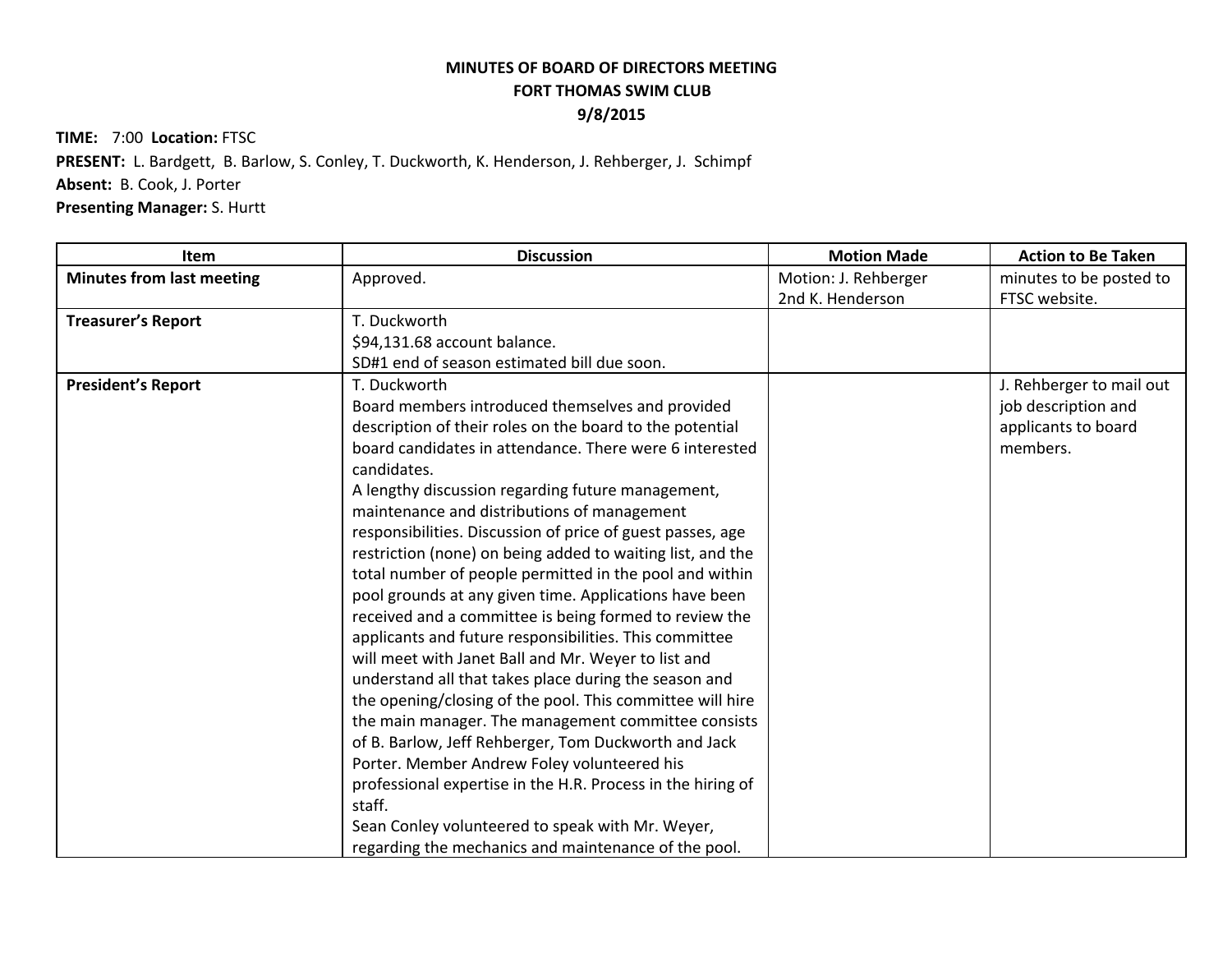## **MINUTES OF BOARD OF DIRECTORS MEETING FORT THOMAS SWIM CLUB 9/8/2015**

**TIME:** 7:00 **Location:** FTSC

**PRESENT:** L. Bardgett, B. Barlow, S. Conley, T. Duckworth, K. Henderson, J. Rehberger, J. Schimpf

**Absent:** B. Cook, J. Porter

**Presenting Manager:** S. Hurtt

| Item                             | <b>Discussion</b>                                                      | <b>Motion Made</b>   | <b>Action to Be Taken</b> |
|----------------------------------|------------------------------------------------------------------------|----------------------|---------------------------|
| <b>Minutes from last meeting</b> | Approved.                                                              | Motion: J. Rehberger | minutes to be posted to   |
|                                  |                                                                        | 2nd K. Henderson     | FTSC website.             |
| <b>Treasurer's Report</b>        | T. Duckworth                                                           |                      |                           |
|                                  | \$94,131.68 account balance.                                           |                      |                           |
|                                  | SD#1 end of season estimated bill due soon.                            |                      |                           |
| <b>President's Report</b>        | T. Duckworth                                                           |                      | J. Rehberger to mail out  |
|                                  | Board members introduced themselves and provided                       |                      | job description and       |
|                                  | description of their roles on the board to the potential               |                      | applicants to board       |
|                                  | board candidates in attendance. There were 6 interested<br>candidates. |                      | members.                  |
|                                  | A lengthy discussion regarding future management,                      |                      |                           |
|                                  | maintenance and distributions of management                            |                      |                           |
|                                  | responsibilities. Discussion of price of guest passes, age             |                      |                           |
|                                  | restriction (none) on being added to waiting list, and the             |                      |                           |
|                                  | total number of people permitted in the pool and within                |                      |                           |
|                                  | pool grounds at any given time. Applications have been                 |                      |                           |
|                                  | received and a committee is being formed to review the                 |                      |                           |
|                                  | applicants and future responsibilities. This committee                 |                      |                           |
|                                  | will meet with Janet Ball and Mr. Weyer to list and                    |                      |                           |
|                                  | understand all that takes place during the season and                  |                      |                           |
|                                  | the opening/closing of the pool. This committee will hire              |                      |                           |
|                                  | the main manager. The management committee consists                    |                      |                           |
|                                  | of B. Barlow, Jeff Rehberger, Tom Duckworth and Jack                   |                      |                           |
|                                  | Porter. Member Andrew Foley volunteered his                            |                      |                           |
|                                  | professional expertise in the H.R. Process in the hiring of            |                      |                           |
|                                  | staff.                                                                 |                      |                           |
|                                  | Sean Conley volunteered to speak with Mr. Weyer,                       |                      |                           |
|                                  | regarding the mechanics and maintenance of the pool.                   |                      |                           |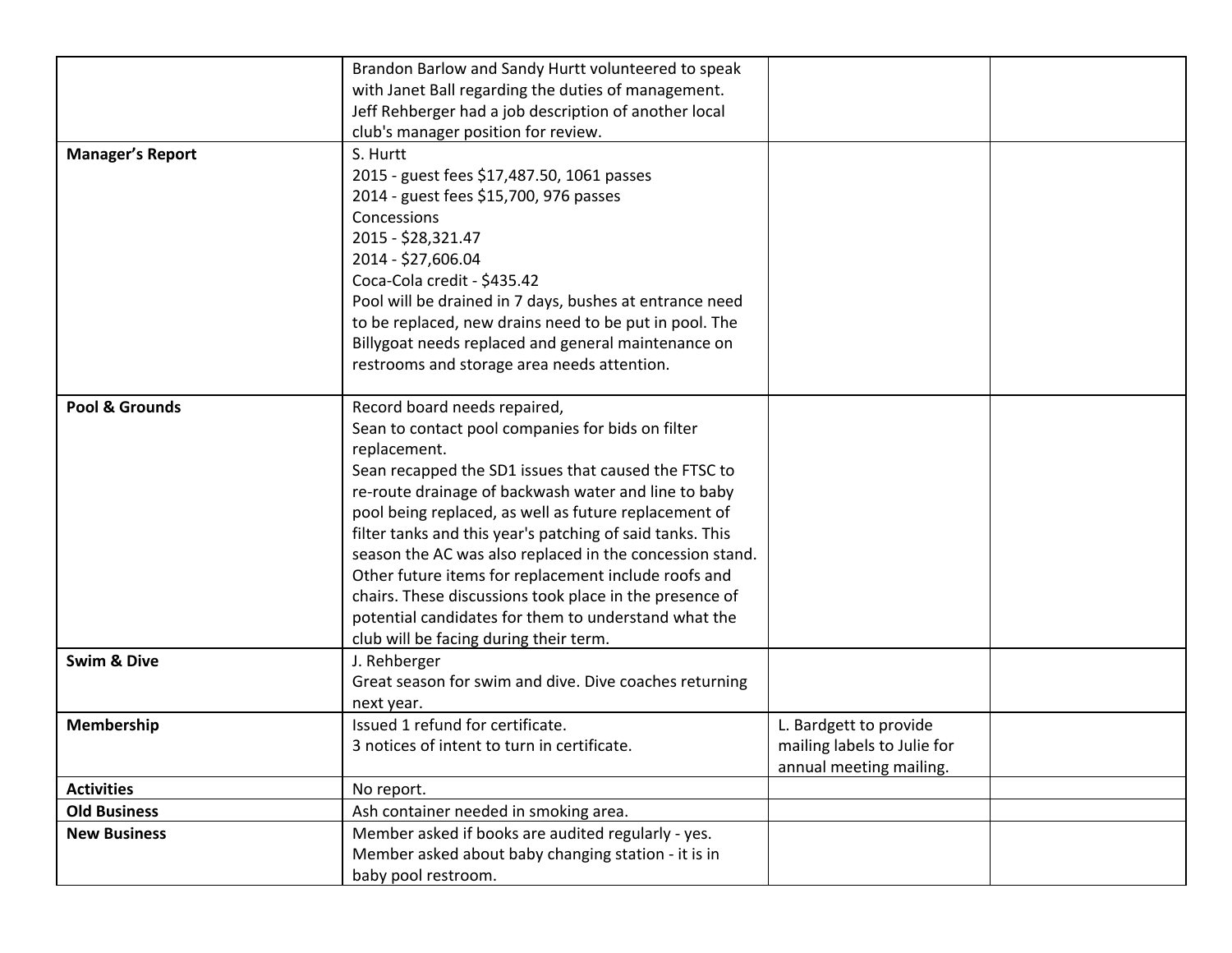|                         | Brandon Barlow and Sandy Hurtt volunteered to speak<br>with Janet Ball regarding the duties of management.<br>Jeff Rehberger had a job description of another local<br>club's manager position for review.                                                                                                                                                                                                                                                                                                                                                                                                               |                                                                                  |  |
|-------------------------|--------------------------------------------------------------------------------------------------------------------------------------------------------------------------------------------------------------------------------------------------------------------------------------------------------------------------------------------------------------------------------------------------------------------------------------------------------------------------------------------------------------------------------------------------------------------------------------------------------------------------|----------------------------------------------------------------------------------|--|
| <b>Manager's Report</b> | S. Hurtt<br>2015 - guest fees \$17,487.50, 1061 passes<br>2014 - guest fees \$15,700, 976 passes<br>Concessions<br>2015 - \$28,321.47<br>2014 - \$27,606.04<br>Coca-Cola credit - \$435.42<br>Pool will be drained in 7 days, bushes at entrance need<br>to be replaced, new drains need to be put in pool. The<br>Billygoat needs replaced and general maintenance on<br>restrooms and storage area needs attention.                                                                                                                                                                                                    |                                                                                  |  |
| Pool & Grounds          | Record board needs repaired,<br>Sean to contact pool companies for bids on filter<br>replacement.<br>Sean recapped the SD1 issues that caused the FTSC to<br>re-route drainage of backwash water and line to baby<br>pool being replaced, as well as future replacement of<br>filter tanks and this year's patching of said tanks. This<br>season the AC was also replaced in the concession stand.<br>Other future items for replacement include roofs and<br>chairs. These discussions took place in the presence of<br>potential candidates for them to understand what the<br>club will be facing during their term. |                                                                                  |  |
| <b>Swim &amp; Dive</b>  | J. Rehberger<br>Great season for swim and dive. Dive coaches returning<br>next year.                                                                                                                                                                                                                                                                                                                                                                                                                                                                                                                                     |                                                                                  |  |
| Membership              | Issued 1 refund for certificate.<br>3 notices of intent to turn in certificate.                                                                                                                                                                                                                                                                                                                                                                                                                                                                                                                                          | L. Bardgett to provide<br>mailing labels to Julie for<br>annual meeting mailing. |  |
| <b>Activities</b>       | No report.                                                                                                                                                                                                                                                                                                                                                                                                                                                                                                                                                                                                               |                                                                                  |  |
| <b>Old Business</b>     | Ash container needed in smoking area.                                                                                                                                                                                                                                                                                                                                                                                                                                                                                                                                                                                    |                                                                                  |  |
| <b>New Business</b>     | Member asked if books are audited regularly - yes.<br>Member asked about baby changing station - it is in<br>baby pool restroom.                                                                                                                                                                                                                                                                                                                                                                                                                                                                                         |                                                                                  |  |